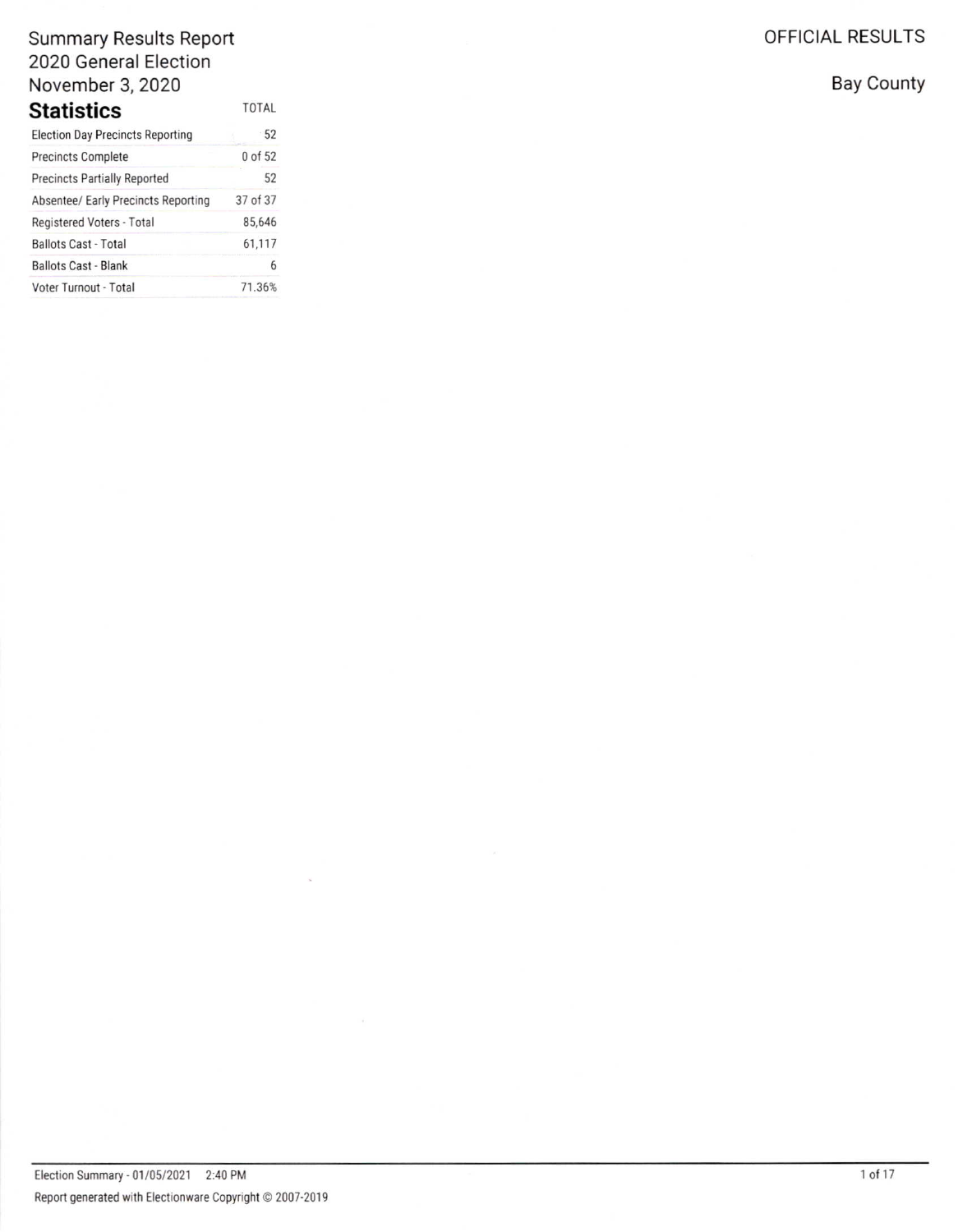| TOTAL    |
|----------|
| · 52     |
| 0 of 52  |
| 52       |
| 37 of 37 |
| 85,646   |
| 61,117   |
| 6        |
| 71.36%   |
|          |

OFFICIAL RESULTS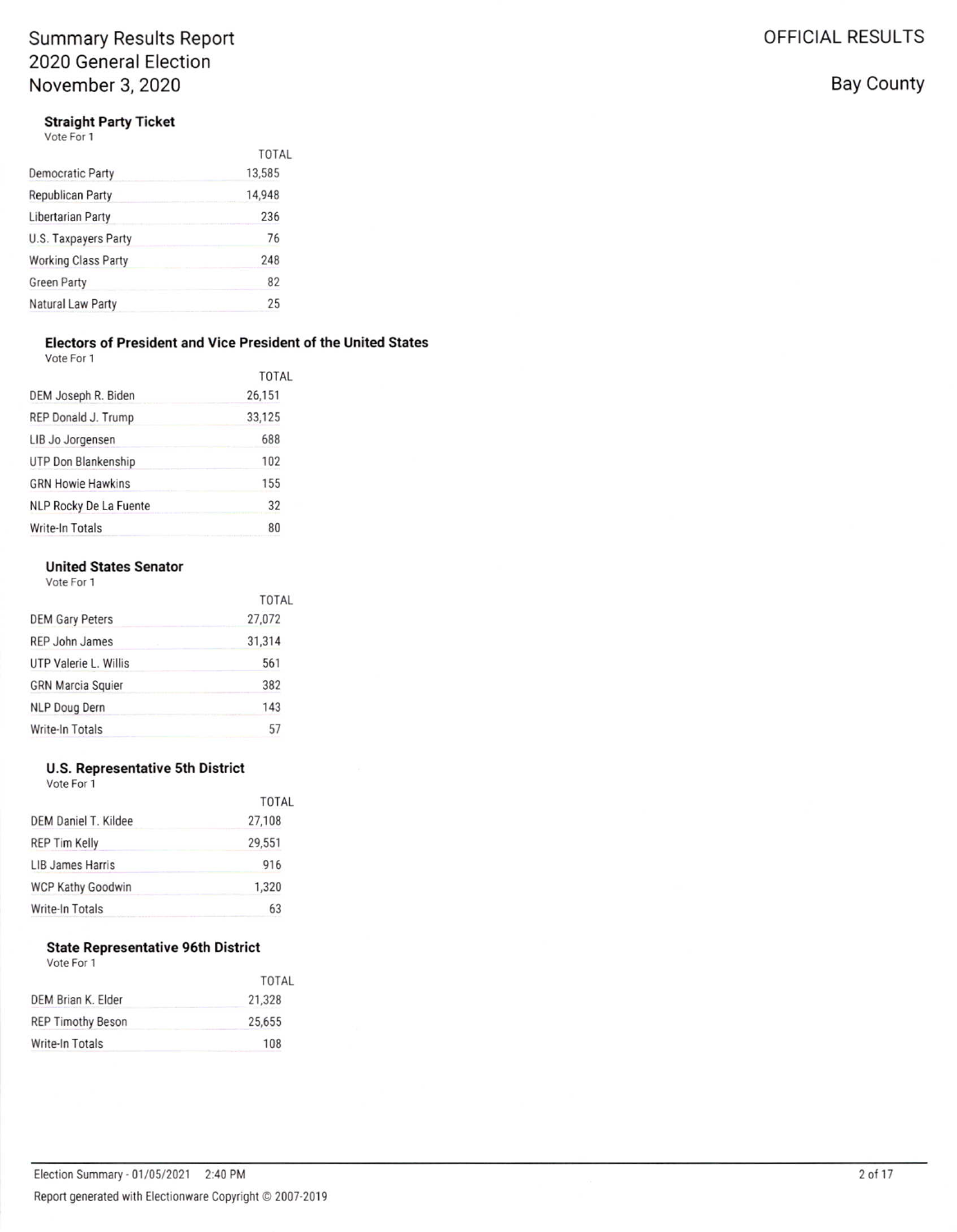**Straight Party Ticket** 

Vote For 1

|                            | <b>TOTAL</b> |
|----------------------------|--------------|
| <b>Democratic Party</b>    | 13,585       |
| Republican Party           | 14,948       |
| Libertarian Party          | 236          |
| U.S. Taxpayers Party       | 76           |
| <b>Working Class Party</b> | 248          |
| <b>Green Party</b>         | 82           |
| Natural Law Party          | 25           |

### Electors of President and Vice President of the United States

| Vote For 1 |  |
|------------|--|
|            |  |

|                          | <b>TOTAL</b> |
|--------------------------|--------------|
| DEM Joseph R. Biden      | 26,151       |
| REP Donald J. Trump      | 33,125       |
| LIB Jo Jorgensen         | 688          |
| UTP Don Blankenship      | 102          |
| <b>GRN Howie Hawkins</b> | 155          |
| NLP Rocky De La Fuente   | 32           |
| Write-In Totals          | 80           |

#### **United States Senator** Vote For 1

| <b>TOTAL</b> |
|--------------|
| 27,072       |
| 31,314       |
| 561          |
| 382          |
| 143          |
| 57           |
|              |

### **U.S. Representative 5th District**

Vote For 1

|                          | <b>TOTAL</b> |
|--------------------------|--------------|
| DEM Daniel T. Kildee     | 27,108       |
| <b>REP Tim Kelly</b>     | 29,551       |
| LIB James Harris         | 916          |
| <b>WCP Kathy Goodwin</b> | 1,320        |
| Write-In Totals          | 63           |

### **State Representative 96th District**

Vote For 1

|                          | <b>TOTAL</b> |
|--------------------------|--------------|
| DEM Brian K. Elder       | 21,328       |
| <b>REP Timothy Beson</b> | 25,655       |
| Write-In Totals          | 108          |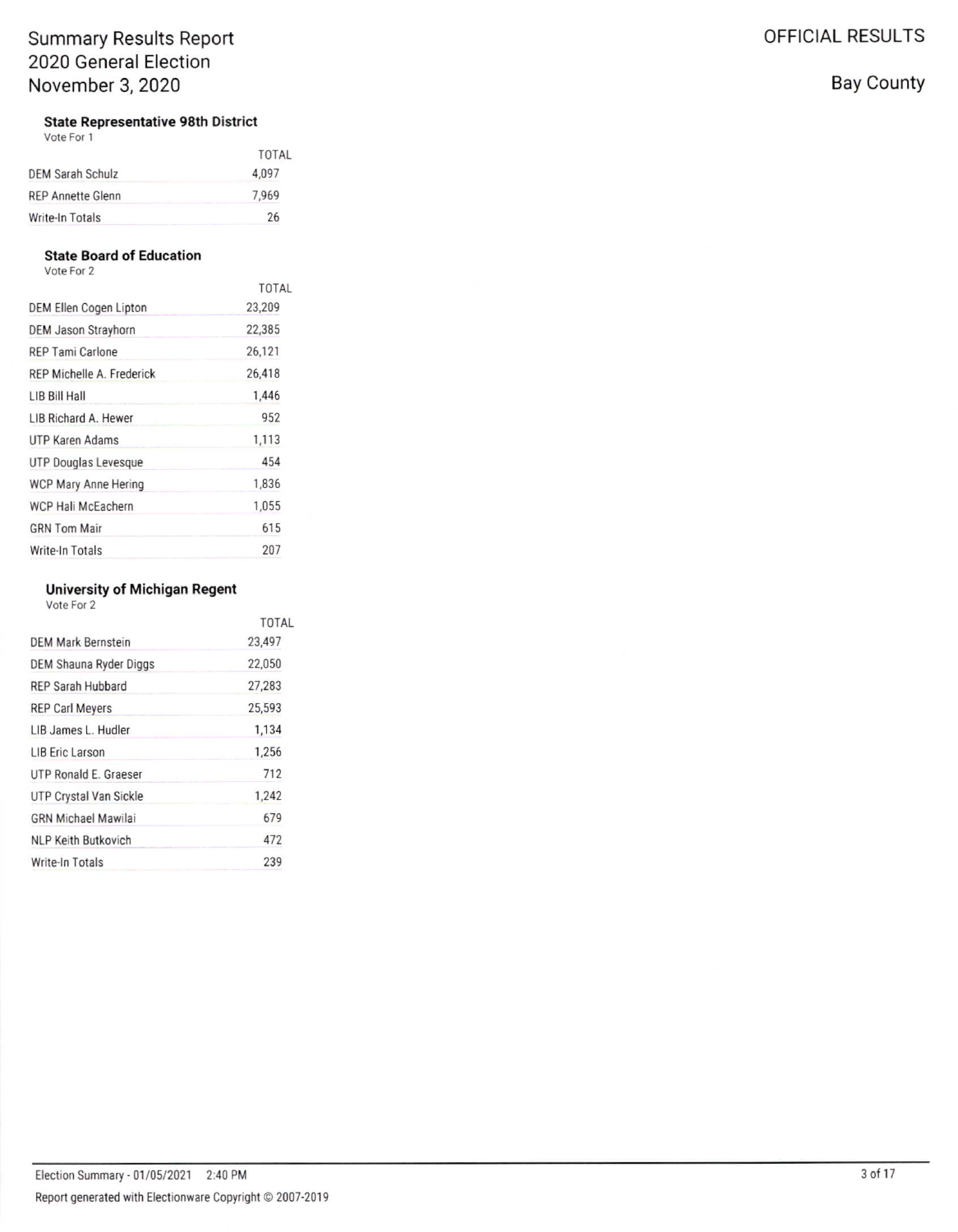### **State Representative 98th District**

Vote For 1

|                   | TOTAL |
|-------------------|-------|
| DEM Sarah Schulz  | 4,097 |
| REP Annette Glenn | 7,969 |
| Write-In Totals   | 26    |

#### **State Board of Education**

Vote For 2

|                            | <b>TOTAL</b> |
|----------------------------|--------------|
| DEM Ellen Cogen Lipton     | 23,209       |
| <b>DEM Jason Strayhorn</b> | 22,385       |
| <b>REP Tami Carlone</b>    | 26.121       |
| REP Michelle A. Frederick  | 26,418       |
| LIB Bill Hall              | 1.446        |
| LIB Richard A. Hewer       | 952          |
| <b>UTP Karen Adams</b>     | 1,113        |
| UTP Douglas Levesque       | 454          |
| WCP Mary Anne Hering       | 1,836        |
| WCP Hali McEachern         | 1,055        |
| <b>GRN Tom Mair</b>        | 615          |
| Write-In Totals            | 207          |

### **University of Michigan Regent**

Vote For 2

|                            | TOTAL  |
|----------------------------|--------|
| DEM Mark Bernstein         | 23.497 |
| DEM Shauna Ryder Diggs     | 22,050 |
| <b>REP Sarah Hubbard</b>   | 27,283 |
| <b>REP Carl Meyers</b>     | 25,593 |
| LIB James L. Hudler        | 1,134  |
| <b>LIB Eric Larson</b>     | 1,256  |
| UTP Ronald E. Graeser      | 712    |
| UTP Crystal Van Sickle     | 1,242  |
| <b>GRN Michael Mawilai</b> | 679    |
| <b>NLP Keith Butkovich</b> | 472    |
| Write-In Totals            | 239    |
|                            |        |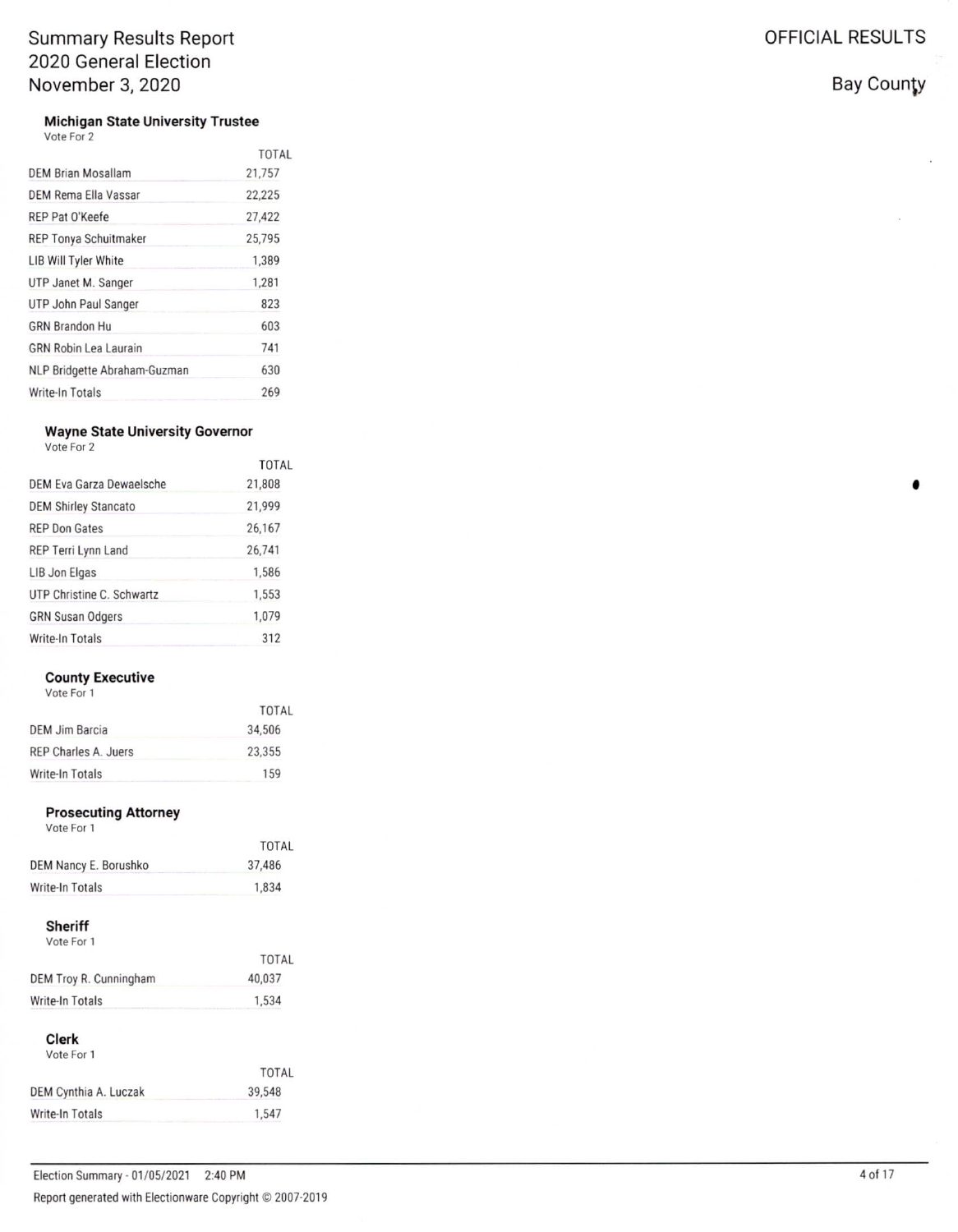**Michigan State University Trustee** 

|  | ote For 2 |  |
|--|-----------|--|
|  |           |  |
|  |           |  |

|                              | <b>TOTAL</b> |
|------------------------------|--------------|
| <b>DEM Brian Mosallam</b>    | 21,757       |
| DEM Rema Ella Vassar         | 22.225       |
| REP Pat O'Keefe              | 27,422       |
| <b>REP Tonya Schuitmaker</b> | 25,795       |
| <b>LIB Will Tyler White</b>  | 1,389        |
| UTP Janet M. Sanger          | 1,281        |
| UTP John Paul Sanger         | 823          |
| <b>GRN Brandon Hu</b>        | 603          |
| <b>GRN Robin Lea Laurain</b> | 741          |
| NLP Bridgette Abraham-Guzman | 630          |
| Write-In Totals              | 269          |

### **Wayne State University Governor**

|  | Vote For 2 |  |
|--|------------|--|
|  |            |  |

|                             | <b>TOTAL</b> |
|-----------------------------|--------------|
| DEM Eva Garza Dewaelsche    | 21,808       |
| <b>DEM Shirley Stancato</b> | 21,999       |
| <b>REP Don Gates</b>        | 26,167       |
| REP Terri Lynn Land         | 26.741       |
| LIB Jon Elgas               | 1,586        |
| UTP Christine C. Schwartz   | 1,553        |
| <b>GRN Susan Odgers</b>     | 1,079        |
| Write-In Totals             | 312          |

### **County Executive**

Vote For 1

|                       | TOTAL  |
|-----------------------|--------|
| <b>DEM Jim Barcia</b> | 34,506 |
| REP Charles A. Juers  | 23,355 |
| Write-In Totals       | 159    |

### **Prosecuting Attorney**

| Vote For 1            |        |  |
|-----------------------|--------|--|
|                       | TOTAL  |  |
| DEM Nancy E. Borushko | 37,486 |  |

#### Sheriff

Write-In Totals

| <b>TOTAL</b> |
|--------------|
| 40.037       |
| 1,534        |
|              |

1,834

### Clerk

| Vote For 1            |        |
|-----------------------|--------|
|                       | TOTAL  |
| DEM Cynthia A. Luczak | 39.548 |
| Write-In Totals       | 1.547  |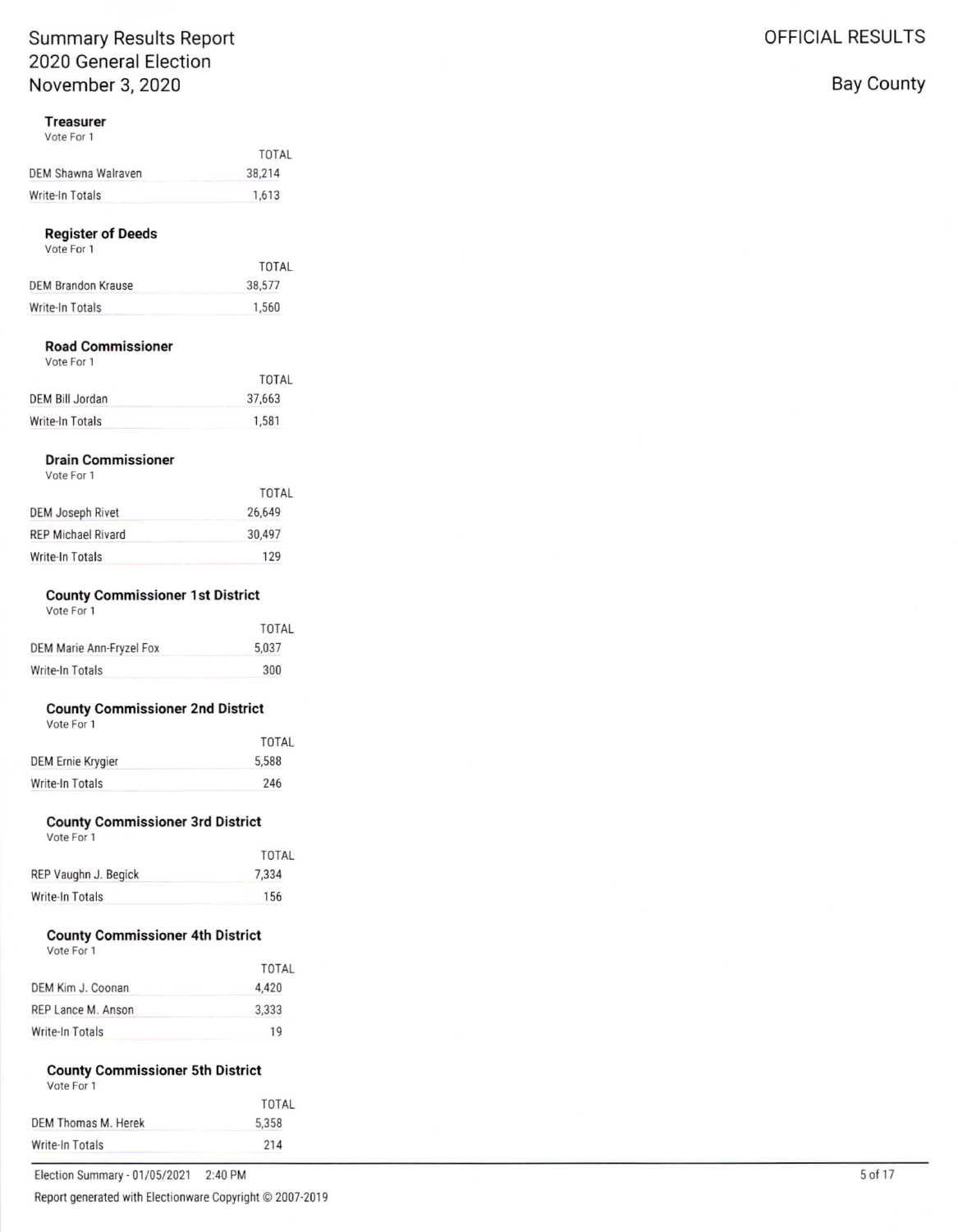# Treasurer<br>Vote For 1

|                     | TOTAL  |
|---------------------|--------|
| DEM Shawna Walraven | 38,214 |
| Write-In Totals     | 1,613  |

## **Register of Deeds**<br>Vote For 1

| VULCIUI I          |        |
|--------------------|--------|
|                    | TOTAL  |
| DEM Brandon Krause | 38,577 |
| Write-In Totals    | 1,560  |
|                    |        |

# Road Commissioner

|                 | TOTAL  |
|-----------------|--------|
| DEM Bill Jordan | 37,663 |
| Write-In Totals | 1.581  |

# Drain Commissioner

|                           | TOTAL  |
|---------------------------|--------|
| DEM Joseph Rivet          | 26,649 |
| <b>REP Michael Rivard</b> | 30,497 |
| Write-In Totals           | 129    |

### County Commissioner 1st District

| VOLE FOL 1               |       |
|--------------------------|-------|
|                          | TOTAL |
| DEM Marie Ann-Fryzel Fox | 5.037 |
| Write-In Totals          | 300   |

# County Commissioner 2nd District<br>Vote For 1

|                   | <b>TOTAL</b> |
|-------------------|--------------|
| DEM Ernie Krygier | 5.588        |
| Write-In Totals   | 246          |
|                   |              |

#### County Commissioner 3rd District

| VOLE FUI I |  |  |
|------------|--|--|
|            |  |  |
|            |  |  |

| REP Vaughn J. Begick | 7,334 |
|----------------------|-------|
| Write-In Totals      | 156   |

TOTAL

### County Commissioner 4th District

| VOIE FOI T         |              |
|--------------------|--------------|
|                    | <b>TOTAL</b> |
| DEM Kim J. Coonan  | 4.420        |
| REP Lance M. Anson | 3.333        |
| Write-In Totals    | 19           |

# County Commissioner 5th District<br>Vote For 1

| <b>TOTAL</b> |
|--------------|
| 5.358        |
| 214          |
|              |

Election Summary - 01/05/2021 2:40 PM Report generated with Electionware Copyright @ 2007-2019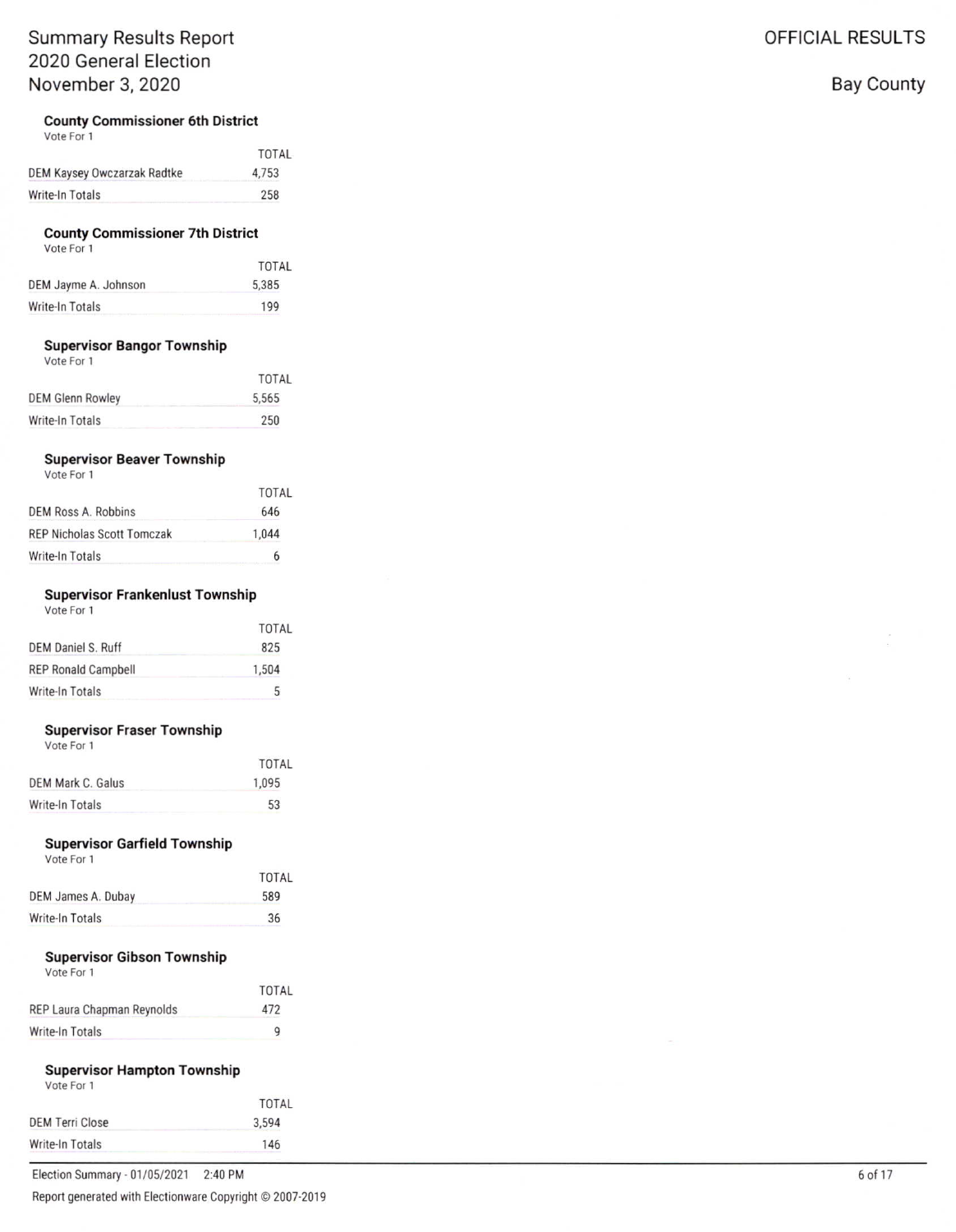### **County Commissioner 6th District**

Vote For 1

|                             | TOTAL |
|-----------------------------|-------|
| DEM Kaysey Owczarzak Radtke | 4.753 |
| Write-In Totals             | 258   |

#### **County Commissioner 7th District** Vote For 1

| TOTAL |
|-------|
| 5.385 |
| 199   |
|       |

#### **Supervisor Bangor Township**

Vote For 1

|                  | TOTAL |
|------------------|-------|
| DEM Glenn Rowley | 5,565 |
| Write-In Totals  | 250   |

#### **Supervisor Beaver Township**

Vote For 1

| TOTAL |
|-------|
| 646   |
| 1.044 |
| 6     |
|       |

#### **Supervisor Frankenlust Township**

|  | Vote For 1 |  |
|--|------------|--|
|  |            |  |

|                            | <b>TOTAL</b> |
|----------------------------|--------------|
| <b>DEM Daniel S. Ruff</b>  | 825          |
| <b>REP Ronald Campbell</b> | 1.504        |
| Write-In Totals            | 5            |

#### **Supervisor Fraser Township**

Vote For 1

|                        | TOTAL |
|------------------------|-------|
| DEM Mark C. Galus      | 1.095 |
| <b>Write-In Totals</b> | 53    |

### **Supervisor Garfield Township**

Vote For 1

|                    | TOTAL |
|--------------------|-------|
| DEM James A. Dubay | 589   |
| Write-In Totals    | 36    |
|                    |       |

#### **Supervisor Gibson Township**

| Vote For 1 |  |  |
|------------|--|--|
|            |  |  |

|                            | TOTAL    |
|----------------------------|----------|
| REP Laura Chapman Reynolds | 472      |
| Write-In Totals            | $\Omega$ |

#### **Supervisor Hampton Township** Vote For 1

| $\sqrt{2}$             |       |
|------------------------|-------|
|                        | TOTAL |
| <b>DEM Terri Close</b> | 3,594 |
| Write-In Totals        | 146   |
|                        |       |